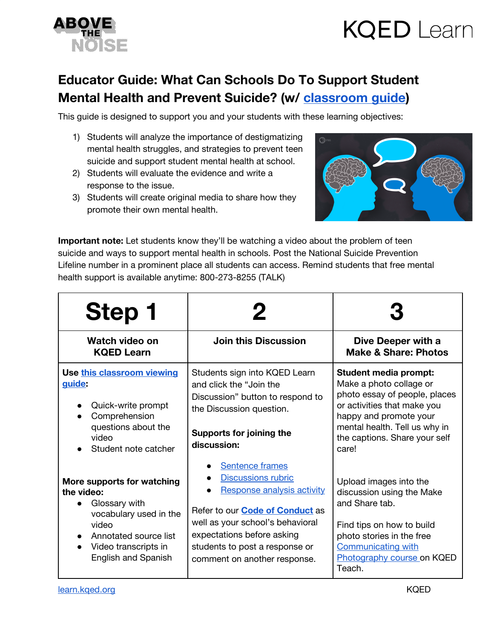

## **KQED** Learn

## **Educator Guide: What Can Schools Do To Support Student Mental Health and Prevent Suicide? (w/ [classroom](https://docs.google.com/document/d/1LZTjAg3tTgAiwE8yr26p33Dtua75rcEM7mMuWZnfXYQ/edit?usp=sharing) guide)**

This guide is designed to support you and your students with these learning objectives:

- 1) Students will analyze the importance of destigmatizing mental health struggles, and strategies to prevent teen suicide and support student mental health at school.
- 2) Students will evaluate the evidence and write a response to the issue.
- 3) Students will create original media to share how they promote their own mental health.



**Important note:** Let students know they'll be watching a video about the problem of teen suicide and ways to support mental health in schools. Post the National Suicide Prevention Lifeline number in a prominent place all students can access. Remind students that free mental health support is available anytime: 800-273-8255 (TALK)

| Step 1                                                                                                                                                                      |                                                                                                                                                                                                                                                                 |                                                                                                                                                                                                                              |
|-----------------------------------------------------------------------------------------------------------------------------------------------------------------------------|-----------------------------------------------------------------------------------------------------------------------------------------------------------------------------------------------------------------------------------------------------------------|------------------------------------------------------------------------------------------------------------------------------------------------------------------------------------------------------------------------------|
| Watch video on<br><b>KQED Learn</b>                                                                                                                                         | <b>Join this Discussion</b>                                                                                                                                                                                                                                     | Dive Deeper with a<br><b>Make &amp; Share: Photos</b>                                                                                                                                                                        |
| Use this classroom viewing<br>quide:<br>Quick-write prompt<br>Comprehension<br>questions about the<br>video<br>Student note catcher                                         | Students sign into KQED Learn<br>and click the "Join the<br>Discussion" button to respond to<br>the Discussion question.<br>Supports for joining the<br>discussion:                                                                                             | <b>Student media prompt:</b><br>Make a photo collage or<br>photo essay of people, places<br>or activities that make you<br>happy and promote your<br>mental health. Tell us why in<br>the captions. Share your self<br>care! |
| More supports for watching<br>the video:<br>Glossary with<br>vocabulary used in the<br>video<br>Annotated source list<br>Video transcripts in<br><b>English and Spanish</b> | Sentence frames<br><b>Discussions rubric</b><br><b>Response analysis activity</b><br>Refer to our <b>Code of Conduct</b> as<br>well as your school's behavioral<br>expectations before asking<br>students to post a response or<br>comment on another response. | Upload images into the<br>discussion using the Make<br>and Share tab.<br>Find tips on how to build<br>photo stories in the free<br><b>Communicating with</b><br>Photography course on KQED<br>Teach.                         |